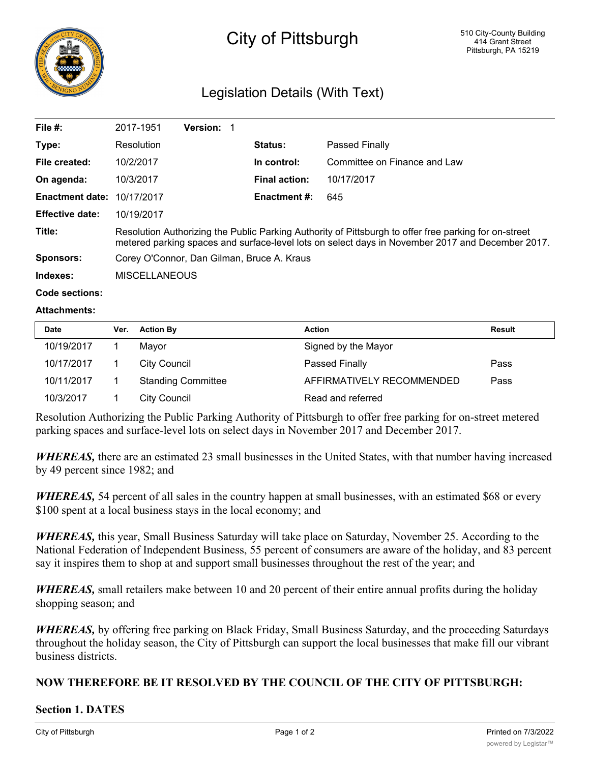

# City of Pittsburgh

# Legislation Details (With Text)

| File #:                | 2017-1951                                                                                                                                                                                                 | <b>Version: 1</b> |                      |                              |  |
|------------------------|-----------------------------------------------------------------------------------------------------------------------------------------------------------------------------------------------------------|-------------------|----------------------|------------------------------|--|
| Type:                  | Resolution                                                                                                                                                                                                |                   | <b>Status:</b>       | <b>Passed Finally</b>        |  |
| File created:          | 10/2/2017                                                                                                                                                                                                 |                   | In control:          | Committee on Finance and Law |  |
| On agenda:             | 10/3/2017                                                                                                                                                                                                 |                   | <b>Final action:</b> | 10/17/2017                   |  |
| <b>Enactment date:</b> | 10/17/2017                                                                                                                                                                                                |                   | <b>Enactment #:</b>  | 645                          |  |
| <b>Effective date:</b> | 10/19/2017                                                                                                                                                                                                |                   |                      |                              |  |
| Title:                 | Resolution Authorizing the Public Parking Authority of Pittsburgh to offer free parking for on-street<br>metered parking spaces and surface-level lots on select days in November 2017 and December 2017. |                   |                      |                              |  |
| <b>Sponsors:</b>       | Corey O'Connor, Dan Gilman, Bruce A. Kraus                                                                                                                                                                |                   |                      |                              |  |
| Indexes:               | <b>MISCELLANEOUS</b>                                                                                                                                                                                      |                   |                      |                              |  |

#### **Code sections:**

#### **Attachments:**

| <b>Date</b> | Ver. | <b>Action By</b>          | <b>Action</b>             | <b>Result</b> |
|-------------|------|---------------------------|---------------------------|---------------|
| 10/19/2017  |      | Mavor                     | Signed by the Mayor       |               |
| 10/17/2017  |      | City Council              | <b>Passed Finally</b>     | Pass          |
| 10/11/2017  |      | <b>Standing Committee</b> | AFFIRMATIVELY RECOMMENDED | Pass          |
| 10/3/2017   |      | City Council              | Read and referred         |               |

Resolution Authorizing the Public Parking Authority of Pittsburgh to offer free parking for on-street metered parking spaces and surface-level lots on select days in November 2017 and December 2017.

*WHEREAS,* there are an estimated 23 small businesses in the United States, with that number having increased by 49 percent since 1982; and

*WHEREAS*, 54 percent of all sales in the country happen at small businesses, with an estimated \$68 or every \$100 spent at a local business stays in the local economy; and

*WHEREAS,* this year, Small Business Saturday will take place on Saturday, November 25. According to the National Federation of Independent Business, 55 percent of consumers are aware of the holiday, and 83 percent say it inspires them to shop at and support small businesses throughout the rest of the year; and

*WHEREAS*, small retailers make between 10 and 20 percent of their entire annual profits during the holiday shopping season; and

*WHEREAS,* by offering free parking on Black Friday, Small Business Saturday, and the proceeding Saturdays throughout the holiday season, the City of Pittsburgh can support the local businesses that make fill our vibrant business districts.

## **NOW THEREFORE BE IT RESOLVED BY THE COUNCIL OF THE CITY OF PITTSBURGH:**

### **Section 1. DATES**